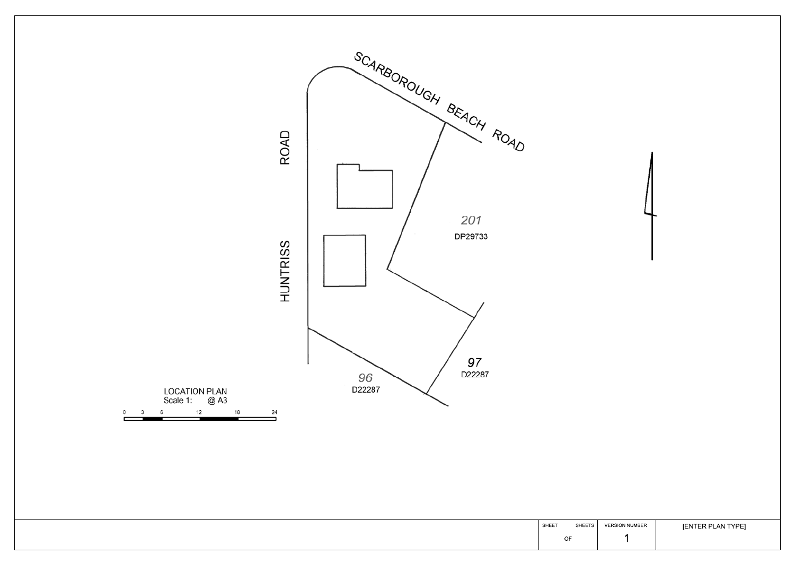

## [ENTER PLAN TYPE]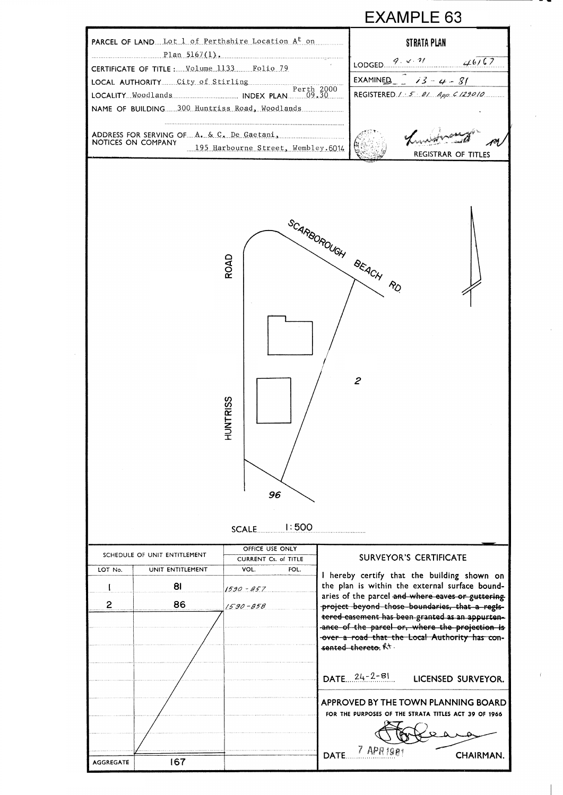

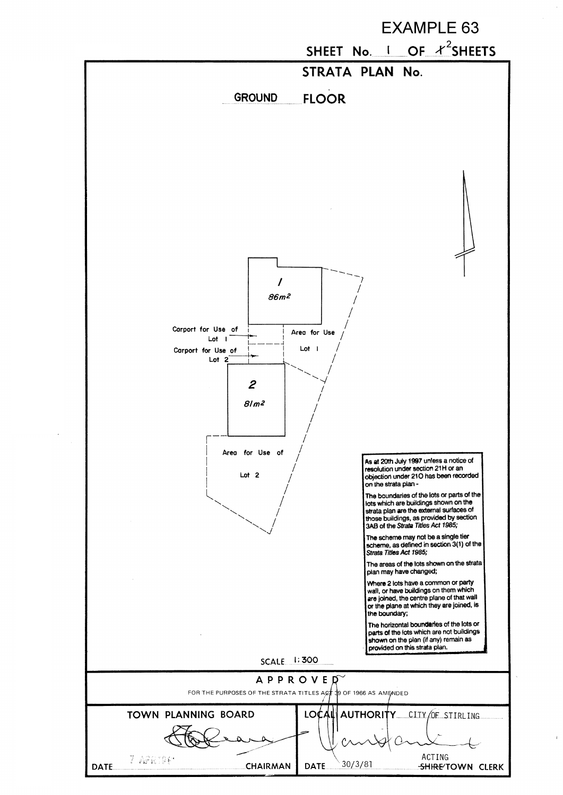